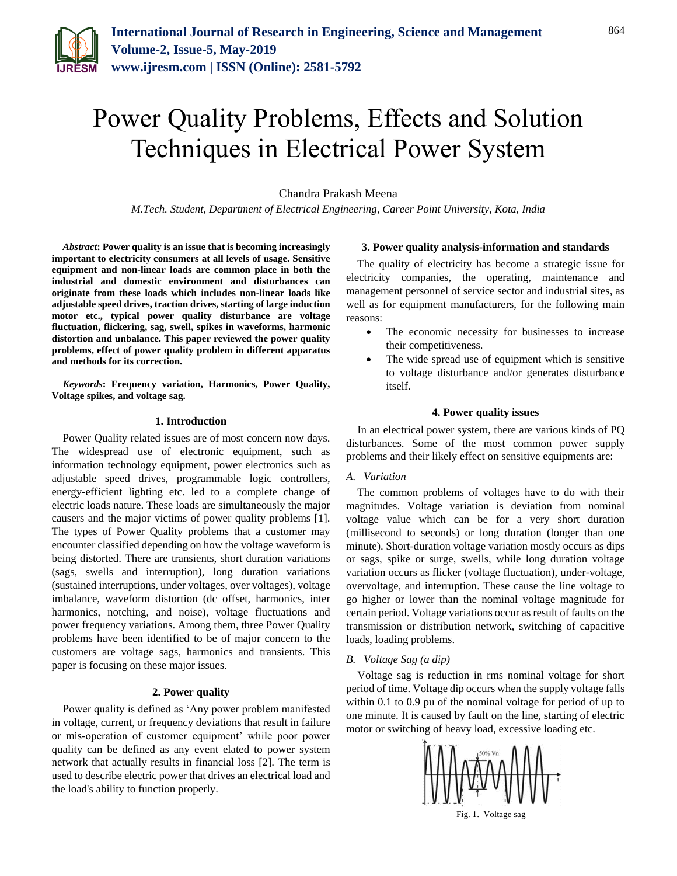

# Power Quality Problems, Effects and Solution Techniques in Electrical Power System

Chandra Prakash Meena

*M.Tech. Student, Department of Electrical Engineering, Career Point University, Kota, India*

*Abstract***: Power quality is an issue that is becoming increasingly important to electricity consumers at all levels of usage. Sensitive equipment and non-linear loads are common place in both the industrial and domestic environment and disturbances can originate from these loads which includes non-linear loads like adjustable speed drives, traction drives, starting of large induction motor etc., typical power quality disturbance are voltage fluctuation, flickering, sag, swell, spikes in waveforms, harmonic distortion and unbalance. This paper reviewed the power quality problems, effect of power quality problem in different apparatus and methods for its correction.**

*Keywords***: Frequency variation, Harmonics, Power Quality, Voltage spikes, and voltage sag.** 

## **1. Introduction**

Power Quality related issues are of most concern now days. The widespread use of electronic equipment, such as information technology equipment, power electronics such as adjustable speed drives, programmable logic controllers, energy-efficient lighting etc. led to a complete change of electric loads nature. These loads are simultaneously the major causers and the major victims of power quality problems [1]. The types of Power Quality problems that a customer may encounter classified depending on how the voltage waveform is being distorted. There are transients, short duration variations (sags, swells and interruption), long duration variations (sustained interruptions, under voltages, over voltages), voltage imbalance, waveform distortion (dc offset, harmonics, inter harmonics, notching, and noise), voltage fluctuations and power frequency variations. Among them, three Power Quality problems have been identified to be of major concern to the customers are voltage sags, harmonics and transients. This paper is focusing on these major issues.

# **2. Power quality**

Power quality is defined as 'Any power problem manifested in voltage, current, or frequency deviations that result in failure or mis-operation of customer equipment' while poor power quality can be defined as any event elated to power system network that actually results in financial loss [2]. The term is used to describe electric power that drives an electrical load and the load's ability to function properly.

#### **3. Power quality analysis-information and standards**

The quality of electricity has become a strategic issue for electricity companies, the operating, maintenance and management personnel of service sector and industrial sites, as well as for equipment manufacturers, for the following main reasons:

- The economic necessity for businesses to increase their competitiveness.
- The wide spread use of equipment which is sensitive to voltage disturbance and/or generates disturbance itself.

## **4. Power quality issues**

In an electrical power system, there are various kinds of PQ disturbances. Some of the most common power supply problems and their likely effect on sensitive equipments are:

# *A. Variation*

The common problems of voltages have to do with their magnitudes. Voltage variation is deviation from nominal voltage value which can be for a very short duration (millisecond to seconds) or long duration (longer than one minute). Short-duration voltage variation mostly occurs as dips or sags, spike or surge, swells, while long duration voltage variation occurs as flicker (voltage fluctuation), under-voltage, overvoltage, and interruption. These cause the line voltage to go higher or lower than the nominal voltage magnitude for certain period. Voltage variations occur as result of faults on the transmission or distribution network, switching of capacitive loads, loading problems.

#### *B. Voltage Sag (a dip)*

Voltage sag is reduction in rms nominal voltage for short period of time. Voltage dip occurs when the supply voltage falls within 0.1 to 0.9 pu of the nominal voltage for period of up to one minute. It is caused by fault on the line, starting of electric motor or switching of heavy load, excessive loading etc.



Fig. 1. Voltage sag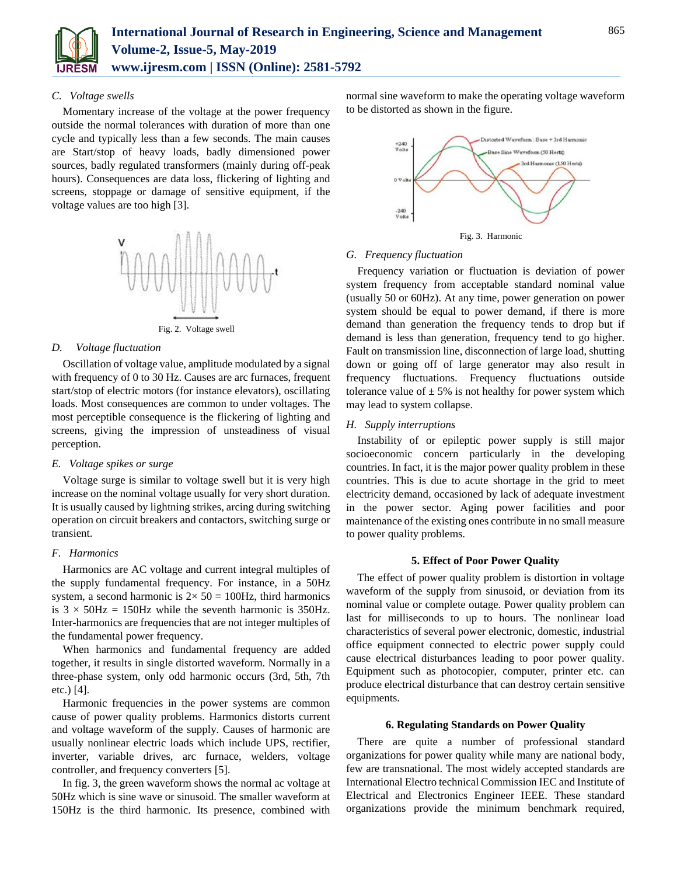

## *C. Voltage swells*

Momentary increase of the voltage at the power frequency outside the normal tolerances with duration of more than one cycle and typically less than a few seconds. The main causes are Start/stop of heavy loads, badly dimensioned power sources, badly regulated transformers (mainly during off-peak hours). Consequences are data loss, flickering of lighting and screens, stoppage or damage of sensitive equipment, if the voltage values are too high [3].



Fig. 2. Voltage swell

#### *D. Voltage fluctuation*

Oscillation of voltage value, amplitude modulated by a signal with frequency of 0 to 30 Hz. Causes are arc furnaces, frequent start/stop of electric motors (for instance elevators), oscillating loads. Most consequences are common to under voltages. The most perceptible consequence is the flickering of lighting and screens, giving the impression of unsteadiness of visual perception.

## *E. Voltage spikes or surge*

Voltage surge is similar to voltage swell but it is very high increase on the nominal voltage usually for very short duration. It is usually caused by lightning strikes, arcing during switching operation on circuit breakers and contactors, switching surge or transient.

#### *F. Harmonics*

Harmonics are AC voltage and current integral multiples of the supply fundamental frequency. For instance, in a 50Hz system, a second harmonic is  $2 \times 50 = 100$ Hz, third harmonics is  $3 \times 50$ Hz = 150Hz while the seventh harmonic is 350Hz. Inter-harmonics are frequencies that are not integer multiples of the fundamental power frequency.

When harmonics and fundamental frequency are added together, it results in single distorted waveform. Normally in a three-phase system, only odd harmonic occurs (3rd, 5th, 7th etc.) [4].

Harmonic frequencies in the power systems are common cause of power quality problems. Harmonics distorts current and voltage waveform of the supply. Causes of harmonic are usually nonlinear electric loads which include UPS, rectifier, inverter, variable drives, arc furnace, welders, voltage controller, and frequency converters [5].

In fig. 3, the green waveform shows the normal ac voltage at 50Hz which is sine wave or sinusoid. The smaller waveform at 150Hz is the third harmonic. Its presence, combined with

normal sine waveform to make the operating voltage waveform to be distorted as shown in the figure.



#### *G. Frequency fluctuation*

Frequency variation or fluctuation is deviation of power system frequency from acceptable standard nominal value (usually 50 or 60Hz). At any time, power generation on power system should be equal to power demand, if there is more demand than generation the frequency tends to drop but if demand is less than generation, frequency tend to go higher. Fault on transmission line, disconnection of large load, shutting down or going off of large generator may also result in frequency fluctuations. Frequency fluctuations outside tolerance value of  $\pm$  5% is not healthy for power system which may lead to system collapse.

## *H. Supply interruptions*

Instability of or epileptic power supply is still major socioeconomic concern particularly in the developing countries. In fact, it is the major power quality problem in these countries. This is due to acute shortage in the grid to meet electricity demand, occasioned by lack of adequate investment in the power sector. Aging power facilities and poor maintenance of the existing ones contribute in no small measure to power quality problems.

#### **5. Effect of Poor Power Quality**

The effect of power quality problem is distortion in voltage waveform of the supply from sinusoid, or deviation from its nominal value or complete outage. Power quality problem can last for milliseconds to up to hours. The nonlinear load characteristics of several power electronic, domestic, industrial office equipment connected to electric power supply could cause electrical disturbances leading to poor power quality. Equipment such as photocopier, computer, printer etc. can produce electrical disturbance that can destroy certain sensitive equipments.

## **6. Regulating Standards on Power Quality**

There are quite a number of professional standard organizations for power quality while many are national body, few are transnational. The most widely accepted standards are International Electro technical Commission IEC and Institute of Electrical and Electronics Engineer IEEE. These standard organizations provide the minimum benchmark required,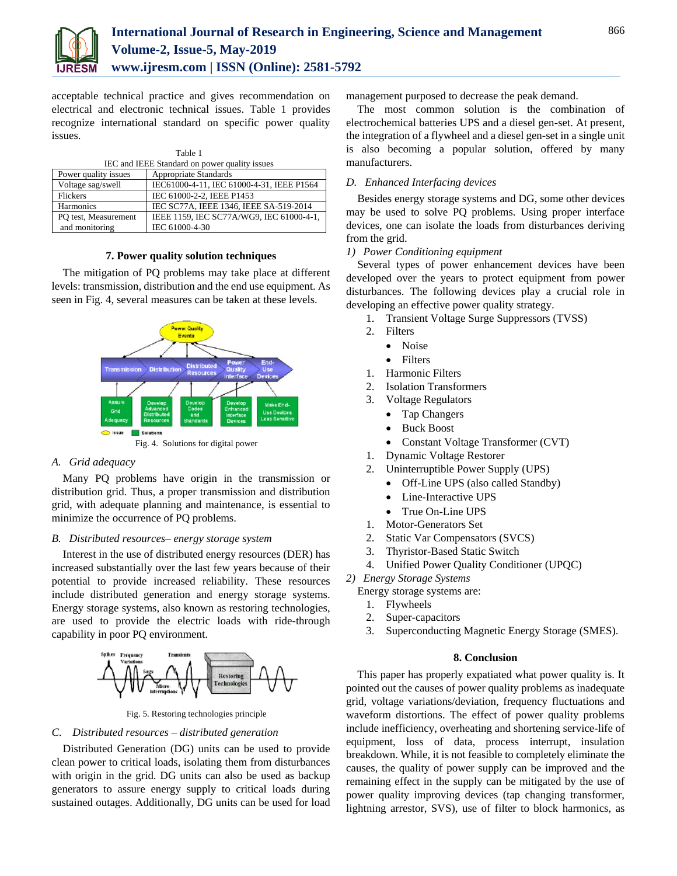

acceptable technical practice and gives recommendation on electrical and electronic technical issues. Table 1 provides recognize international standard on specific power quality issues.

| Table 1                                       |                                           |
|-----------------------------------------------|-------------------------------------------|
| IEC and IEEE Standard on power quality issues |                                           |
| Power quality issues                          | Appropriate Standards                     |
| Voltage sag/swell                             | IEC61000-4-11, IEC 61000-4-31, IEEE P1564 |
| <b>Flickers</b>                               | IEC 61000-2-2, IEEE P1453                 |
| Harmonics                                     | IEC SC77A, IEEE 1346, IEEE SA-519-2014    |
| PO test, Measurement                          | IEEE 1159, IEC SC77A/WG9, IEC 61000-4-1,  |
| and monitoring                                | IEC 61000-4-30                            |

## **7. Power quality solution techniques**

The mitigation of PQ problems may take place at different levels: transmission, distribution and the end use equipment. As seen in Fig. 4, several measures can be taken at these levels.



Fig. 4. Solutions for digital power

#### *A. Grid adequacy*

Many PQ problems have origin in the transmission or distribution grid. Thus, a proper transmission and distribution grid, with adequate planning and maintenance, is essential to minimize the occurrence of PQ problems.

#### *B. Distributed resources– energy storage system*

Interest in the use of distributed energy resources (DER) has increased substantially over the last few years because of their potential to provide increased reliability. These resources include distributed generation and energy storage systems. Energy storage systems, also known as restoring technologies, are used to provide the electric loads with ride-through capability in poor PQ environment.



Fig. 5. Restoring technologies principle

#### *C. Distributed resources – distributed generation*

Distributed Generation (DG) units can be used to provide clean power to critical loads, isolating them from disturbances with origin in the grid. DG units can also be used as backup generators to assure energy supply to critical loads during sustained outages. Additionally, DG units can be used for load management purposed to decrease the peak demand.

The most common solution is the combination of electrochemical batteries UPS and a diesel gen-set. At present, the integration of a flywheel and a diesel gen-set in a single unit is also becoming a popular solution, offered by many manufacturers.

# *D. Enhanced Interfacing devices*

Besides energy storage systems and DG, some other devices may be used to solve PQ problems. Using proper interface devices, one can isolate the loads from disturbances deriving from the grid.

#### *1) Power Conditioning equipment*

Several types of power enhancement devices have been developed over the years to protect equipment from power disturbances. The following devices play a crucial role in developing an effective power quality strategy.

- 1. Transient Voltage Surge Suppressors (TVSS)
- 2. Filters
	- Noise
	- Filters
- 1. Harmonic Filters
- 2. Isolation Transformers
- 3. Voltage Regulators
	- Tap Changers
	- Buck Boost
	- Constant Voltage Transformer (CVT)
- 1. Dynamic Voltage Restorer
- 2. Uninterruptible Power Supply (UPS)
	- Off-Line UPS (also called Standby)
	- Line-Interactive UPS
	- True On-Line UPS
- 1. Motor-Generators Set
- 2. Static Var Compensators (SVCS)
- 3. Thyristor-Based Static Switch
- 4. Unified Power Quality Conditioner (UPQC)
- *2) Energy Storage Systems*

Energy storage systems are:

- 1. Flywheels
- 2. Super-capacitors
- 3. Superconducting Magnetic Energy Storage (SMES).

## **8. Conclusion**

This paper has properly expatiated what power quality is. It pointed out the causes of power quality problems as inadequate grid, voltage variations/deviation, frequency fluctuations and waveform distortions. The effect of power quality problems include inefficiency, overheating and shortening service-life of equipment, loss of data, process interrupt, insulation breakdown. While, it is not feasible to completely eliminate the causes, the quality of power supply can be improved and the remaining effect in the supply can be mitigated by the use of power quality improving devices (tap changing transformer, lightning arrestor, SVS), use of filter to block harmonics, as